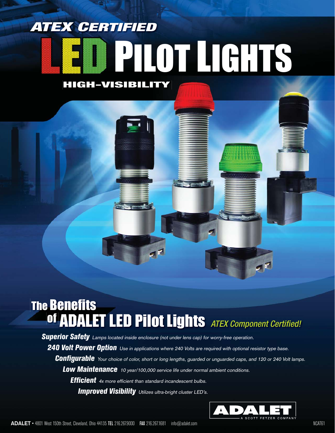# **HIGH-VISIBILITY ATEX CERTIFIED ED PILOT LIGHTS**

## **The Benefits OGITUTES**<br>**Of ADALET LED Pilot Lights** ATEX Component Certified!

**Superior Safety** Lamps located inside enclosure (not under lens cap) for worry-free operation.

**240 Volt Power Option** Use in applications where 240 Volts are required with optional resistor type base. **Configurable** Your choice of color, short or long lengths, guarded or unguarded caps, and 120 or 240 Volt lamps. **Low Maintenance** 10 year/100,000 service life under normal ambient conditions. **Efficient** 4x more efficient than standard incandescent bulbs. **Improved Visibility** Utilizes ultra-bright cluster LED's.